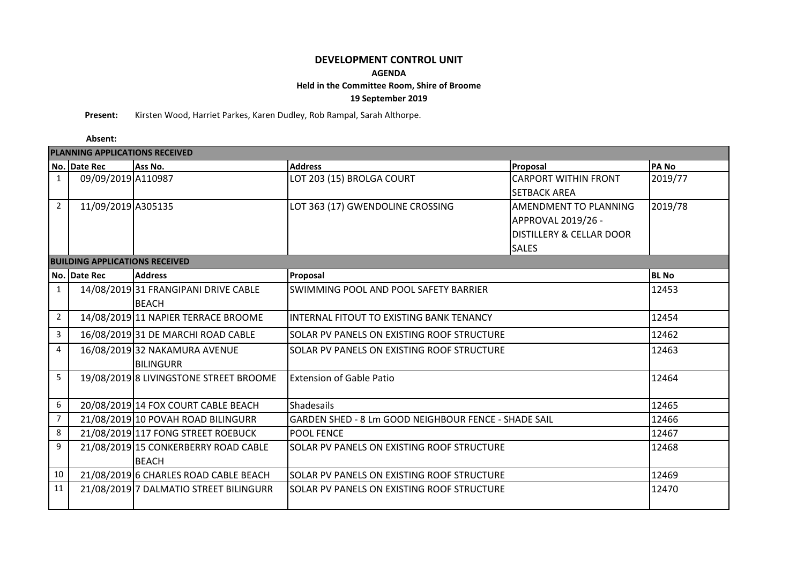# **DEVELOPMENT CONTROL UNIT**

### **AGENDA**

## **Held in the Committee Room, Shire of Broome**

### **19 September 2019**

**Present:** Kirsten Wood, Harriet Parkes, Karen Dudley, Rob Rampal, Sarah Althorpe.

### **Absent:**

| <b>PLANNING APPLICATIONS RECEIVED</b> |                                       |                                        |                                                      |                                     |              |  |
|---------------------------------------|---------------------------------------|----------------------------------------|------------------------------------------------------|-------------------------------------|--------------|--|
|                                       | No. Date Rec                          | Ass No.                                | <b>Address</b>                                       | Proposal                            | <b>PANO</b>  |  |
| $\mathbf{1}$                          | 09/09/2019 A110987                    |                                        | LOT 203 (15) BROLGA COURT                            | <b>CARPORT WITHIN FRONT</b>         | 2019/77      |  |
|                                       |                                       |                                        |                                                      | <b>SETBACK AREA</b>                 |              |  |
| $\overline{2}$                        | 11/09/2019 A305135                    |                                        | LOT 363 (17) GWENDOLINE CROSSING                     | AMENDMENT TO PLANNING               | 2019/78      |  |
|                                       |                                       |                                        |                                                      | APPROVAL 2019/26 -                  |              |  |
|                                       |                                       |                                        |                                                      | <b>DISTILLERY &amp; CELLAR DOOR</b> |              |  |
|                                       |                                       |                                        |                                                      | <b>SALES</b>                        |              |  |
|                                       | <b>BUILDING APPLICATIONS RECEIVED</b> |                                        |                                                      |                                     |              |  |
|                                       | No. Date Rec                          | <b>Address</b>                         | Proposal                                             |                                     | <b>BL</b> No |  |
| $\mathbf{1}$                          |                                       | 14/08/2019 31 FRANGIPANI DRIVE CABLE   | SWIMMING POOL AND POOL SAFETY BARRIER                |                                     | 12453        |  |
|                                       |                                       | <b>BEACH</b>                           |                                                      |                                     |              |  |
| $\overline{2}$                        |                                       | 14/08/2019 11 NAPIER TERRACE BROOME    | INTERNAL FITOUT TO EXISTING BANK TENANCY             |                                     | 12454        |  |
| 3                                     |                                       | 16/08/2019 31 DE MARCHI ROAD CABLE     | SOLAR PV PANELS ON EXISTING ROOF STRUCTURE           |                                     | 12462        |  |
| 4                                     |                                       | 16/08/2019 32 NAKAMURA AVENUE          | SOLAR PV PANELS ON EXISTING ROOF STRUCTURE           |                                     | 12463        |  |
|                                       |                                       | <b>BILINGURR</b>                       |                                                      |                                     |              |  |
| 5                                     |                                       | 19/08/2019 8 LIVINGSTONE STREET BROOME | <b>Extension of Gable Patio</b>                      |                                     | 12464        |  |
|                                       |                                       |                                        |                                                      |                                     |              |  |
| 6                                     |                                       | 20/08/2019 14 FOX COURT CABLE BEACH    | <b>Shadesails</b>                                    |                                     | 12465        |  |
| $\overline{7}$                        |                                       | 21/08/2019 10 POVAH ROAD BILINGURR     | GARDEN SHED - 8 Lm GOOD NEIGHBOUR FENCE - SHADE SAIL |                                     | 12466        |  |
| 8                                     |                                       | 21/08/2019 117 FONG STREET ROEBUCK     | <b>POOL FENCE</b>                                    |                                     | 12467        |  |
| 9                                     |                                       | 21/08/2019 15 CONKERBERRY ROAD CABLE   | SOLAR PV PANELS ON EXISTING ROOF STRUCTURE           |                                     | 12468        |  |
|                                       |                                       | <b>BEACH</b>                           |                                                      |                                     |              |  |
| 10                                    |                                       | 21/08/2019 6 CHARLES ROAD CABLE BEACH  | SOLAR PV PANELS ON EXISTING ROOF STRUCTURE           |                                     | 12469        |  |
| 11                                    |                                       | 21/08/2019 7 DALMATIO STREET BILINGURR | SOLAR PV PANELS ON EXISTING ROOF STRUCTURE           |                                     | 12470        |  |
|                                       |                                       |                                        |                                                      |                                     |              |  |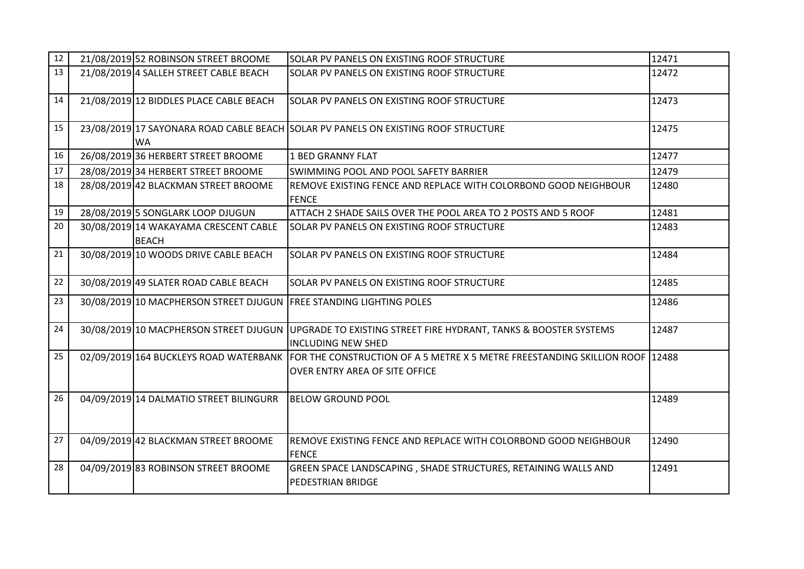| 12 | 21/08/2019 52 ROBINSON STREET BROOME                                                                                                                  | SOLAR PV PANELS ON EXISTING ROOF STRUCTURE                                                                                                    | 12471 |
|----|-------------------------------------------------------------------------------------------------------------------------------------------------------|-----------------------------------------------------------------------------------------------------------------------------------------------|-------|
| 13 | 21/08/2019 4 SALLEH STREET CABLE BEACH                                                                                                                | SOLAR PV PANELS ON EXISTING ROOF STRUCTURE                                                                                                    | 12472 |
| 14 | 21/08/2019 12 BIDDLES PLACE CABLE BEACH                                                                                                               | SOLAR PV PANELS ON EXISTING ROOF STRUCTURE                                                                                                    | 12473 |
| 15 | WA                                                                                                                                                    | 23/08/2019 17 SAYONARA ROAD CABLE BEACH SOLAR PV PANELS ON EXISTING ROOF STRUCTURE                                                            | 12475 |
| 16 | 26/08/2019 36 HERBERT STREET BROOME                                                                                                                   | <b>1 BED GRANNY FLAT</b>                                                                                                                      | 12477 |
| 17 | 28/08/2019 34 HERBERT STREET BROOME                                                                                                                   | SWIMMING POOL AND POOL SAFETY BARRIER                                                                                                         | 12479 |
| 18 | 28/08/2019 42 BLACKMAN STREET BROOME                                                                                                                  | REMOVE EXISTING FENCE AND REPLACE WITH COLORBOND GOOD NEIGHBOUR<br><b>FENCE</b>                                                               | 12480 |
| 19 | 28/08/2019 5 SONGLARK LOOP DJUGUN                                                                                                                     | ATTACH 2 SHADE SAILS OVER THE POOL AREA TO 2 POSTS AND 5 ROOF                                                                                 | 12481 |
| 20 | 30/08/2019 14 WAKAYAMA CRESCENT CABLE<br><b>BEACH</b>                                                                                                 | SOLAR PV PANELS ON EXISTING ROOF STRUCTURE                                                                                                    | 12483 |
| 21 | 30/08/2019 10 WOODS DRIVE CABLE BEACH                                                                                                                 | SOLAR PV PANELS ON EXISTING ROOF STRUCTURE                                                                                                    | 12484 |
| 22 | 30/08/2019 49 SLATER ROAD CABLE BEACH                                                                                                                 | SOLAR PV PANELS ON EXISTING ROOF STRUCTURE                                                                                                    | 12485 |
| 23 | 30/08/2019 10 MACPHERSON STREET DJUGUN FREE STANDING LIGHTING POLES                                                                                   |                                                                                                                                               | 12486 |
| 24 |                                                                                                                                                       | 30/08/2019 10 MACPHERSON STREET DJUGUN UPGRADE TO EXISTING STREET FIRE HYDRANT, TANKS & BOOSTER SYSTEMS<br>12487<br><b>INCLUDING NEW SHED</b> |       |
| 25 | 02/09/2019 164 BUCKLEYS ROAD WATERBANK FOR THE CONSTRUCTION OF A 5 METRE X 5 METRE FREESTANDING SKILLION ROOF 12488<br>OVER ENTRY AREA OF SITE OFFICE |                                                                                                                                               |       |
| 26 | 04/09/2019 14 DALMATIO STREET BILINGURR                                                                                                               | <b>BELOW GROUND POOL</b>                                                                                                                      | 12489 |
| 27 | 04/09/2019 42 BLACKMAN STREET BROOME                                                                                                                  | REMOVE EXISTING FENCE AND REPLACE WITH COLORBOND GOOD NEIGHBOUR<br><b>FENCE</b>                                                               | 12490 |
| 28 | 04/09/2019 83 ROBINSON STREET BROOME                                                                                                                  | GREEN SPACE LANDSCAPING, SHADE STRUCTURES, RETAINING WALLS AND<br>PEDESTRIAN BRIDGE                                                           | 12491 |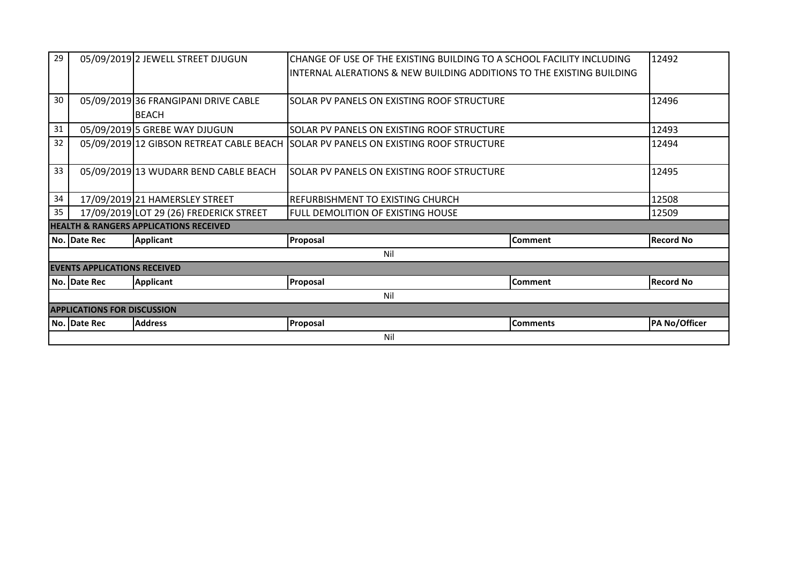| 29                                                |              | 05/09/2019 2 JEWELL STREET DJUGUN       | CHANGE OF USE OF THE EXISTING BUILDING TO A SCHOOL FACILITY INCLUDING               | 12492           |                  |  |  |
|---------------------------------------------------|--------------|-----------------------------------------|-------------------------------------------------------------------------------------|-----------------|------------------|--|--|
|                                                   |              |                                         | INTERNAL ALERATIONS & NEW BUILDING ADDITIONS TO THE EXISTING BUILDING               |                 |                  |  |  |
|                                                   |              |                                         |                                                                                     |                 |                  |  |  |
| 30                                                |              | 05/09/2019 36 FRANGIPANI DRIVE CABLE    | SOLAR PV PANELS ON EXISTING ROOF STRUCTURE                                          |                 | 12496            |  |  |
|                                                   |              | <b>BEACH</b>                            |                                                                                     |                 |                  |  |  |
| 31                                                |              | 05/09/2019 5 GREBE WAY DJUGUN           | SOLAR PV PANELS ON EXISTING ROOF STRUCTURE                                          |                 | 12493            |  |  |
| 32                                                |              |                                         | 05/09/2019 12 GIBSON RETREAT CABLE BEACH SOLAR PV PANELS ON EXISTING ROOF STRUCTURE |                 | 12494            |  |  |
|                                                   |              |                                         |                                                                                     |                 |                  |  |  |
| 33                                                |              | 05/09/2019 13 WUDARR BEND CABLE BEACH   | SOLAR PV PANELS ON EXISTING ROOF STRUCTURE                                          | 12495           |                  |  |  |
|                                                   |              |                                         |                                                                                     |                 |                  |  |  |
| 34                                                |              | 17/09/2019 21 HAMERSLEY STREET          | REFURBISHMENT TO EXISTING CHURCH                                                    |                 | 12508            |  |  |
| 35                                                |              | 17/09/2019 LOT 29 (26) FREDERICK STREET | <b>FULL DEMOLITION OF EXISTING HOUSE</b>                                            |                 | 12509            |  |  |
| <b>HEALTH &amp; RANGERS APPLICATIONS RECEIVED</b> |              |                                         |                                                                                     |                 |                  |  |  |
|                                                   | No. Date Rec | <b>Applicant</b>                        | Proposal                                                                            | <b>Comment</b>  | <b>Record No</b> |  |  |
|                                                   | Nil          |                                         |                                                                                     |                 |                  |  |  |
| <b>EVENTS APPLICATIONS RECEIVED</b>               |              |                                         |                                                                                     |                 |                  |  |  |
|                                                   | No. Date Rec | <b>Applicant</b>                        | Proposal                                                                            | <b>Comment</b>  | <b>Record No</b> |  |  |
|                                                   | Nil          |                                         |                                                                                     |                 |                  |  |  |
| <b>APPLICATIONS FOR DISCUSSION</b>                |              |                                         |                                                                                     |                 |                  |  |  |
|                                                   | No. Date Rec | <b>Address</b>                          | Proposal                                                                            | <b>Comments</b> | PA No/Officer    |  |  |
|                                                   | Nil          |                                         |                                                                                     |                 |                  |  |  |